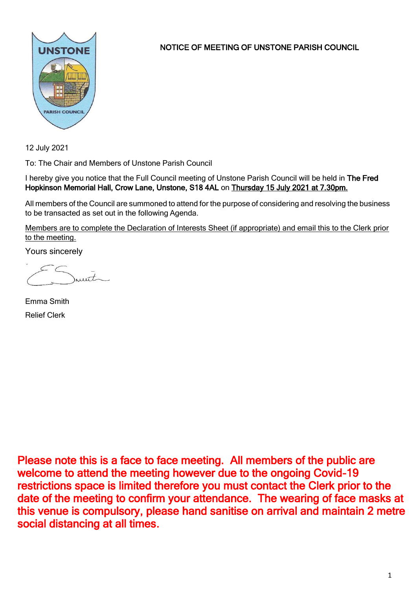

NOTICE OF MEETING OF UNSTONE PARISH COUNCIL

12 July 2021

To: The Chair and Members of Unstone Parish Council

I hereby give you notice that the Full Council meeting of Unstone Parish Council will be held in The Fred Hopkinson Memorial Hall, Crow Lane, Unstone, S18 4AL on Thursday 15 July 2021 at 7.30pm.

All members of the Council are summoned to attend for the purpose of considering and resolving the business to be transacted as set out in the following Agenda.

Members are to complete the Declaration of Interests Sheet (if appropriate) and email this to the Clerk prior to the meeting.

Yours sincerely

munt

Emma Smith Relief Clerk

Please note this is a face to face meeting. All members of the public are welcome to attend the meeting however due to the ongoing Covid-19 restrictions space is limited therefore you must contact the Clerk prior to the date of the meeting to confirm your attendance. The wearing of face masks at this venue is compulsory, please hand sanitise on arrival and maintain 2 metre social distancing at all times.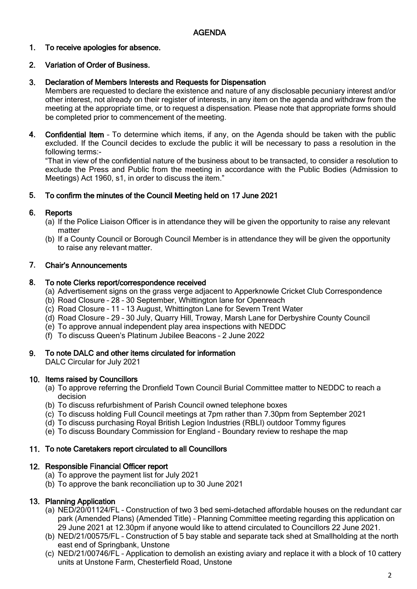### 1. To receive apologies for absence.

### 2. Variation of Order of Business.

### 3. Declaration of Members Interests and Requests for Dispensation

Members are requested to declare the existence and nature of any disclosable pecuniary interest and/or other interest, not already on their register of interests, in any item on the agenda and withdraw from the meeting at the appropriate time, or to request a dispensation. Please note that appropriate forms should be completed prior to commencement of the meeting.

4. Confidential Item – To determine which items, if any, on the Agenda should be taken with the public excluded. If the Council decides to exclude the public it will be necessary to pass a resolution in the following terms:-

"That in view of the confidential nature of the business about to be transacted, to consider a resolution to exclude the Press and Public from the meeting in accordance with the Public Bodies (Admission to Meetings) Act 1960, s1, in order to discuss the item."

#### 5. To confirm the minutes of the Council Meeting held on 17 June 2021

#### 6. **Reports**

- (a) If the Police Liaison Officer is in attendance they will be given the opportunity to raise any relevant matter
- (b) If a County Council or Borough Council Member is in attendance they will be given the opportunity to raise any relevant matter.

#### 7. Chair's Announcements

#### 8. To note Clerks report/correspondence received

- (a) Advertisement signs on the grass verge adjacent to Apperknowle Cricket Club Correspondence
- (b) Road Closure 28 30 September, Whittington lane for Openreach
- (c) Road Closure 11 13 August, Whittington Lane for Severn Trent Water
- (d) Road Closure 29 30 July, Quarry Hill, Troway, Marsh Lane for Derbyshire County Council
- (e) To approve annual independent play area inspections with NEDDC
- (f) To discuss Queen's Platinum Jubilee Beacons 2 June 2022

#### 9. To note DALC and other items circulated for information

DALC Circular for July 2021

# 10. Items raised by Councillors

- (a) To approve referring the Dronfield Town Council Burial Committee matter to NEDDC to reach a decision
- (b) To discuss refurbishment of Parish Council owned telephone boxes
- (c) To discuss holding Full Council meetings at 7pm rather than 7.30pm from September 2021
- (d) To discuss purchasing Royal British Legion Industries (RBLI) outdoor Tommy figures
- (e) To discuss Boundary Commission for England Boundary review to reshape the map

# 11. To note Caretakers report circulated to all Councillors

# 12. Responsible Financial Officer report

- (a) To approve the payment list for July 2021
- (b) To approve the bank reconciliation up to 30 June 2021

# 13. Planning Application

- (a) NED/20/01124/FL Construction of two 3 bed semi-detached affordable houses on the redundant car park (Amended Plans) (Amended Title) – Planning Committee meeting regarding this application on 29 June 2021 at 12.30pm if anyone would like to attend circulated to Councillors 22 June 2021.
- (b) NED/21/00575/FL Construction of 5 bay stable and separate tack shed at Smallholding at the north east end of Springbank, Unstone
- (c) NED/21/00746/FL Application to demolish an existing aviary and replace it with a block of 10 cattery units at Unstone Farm, Chesterfield Road, Unstone